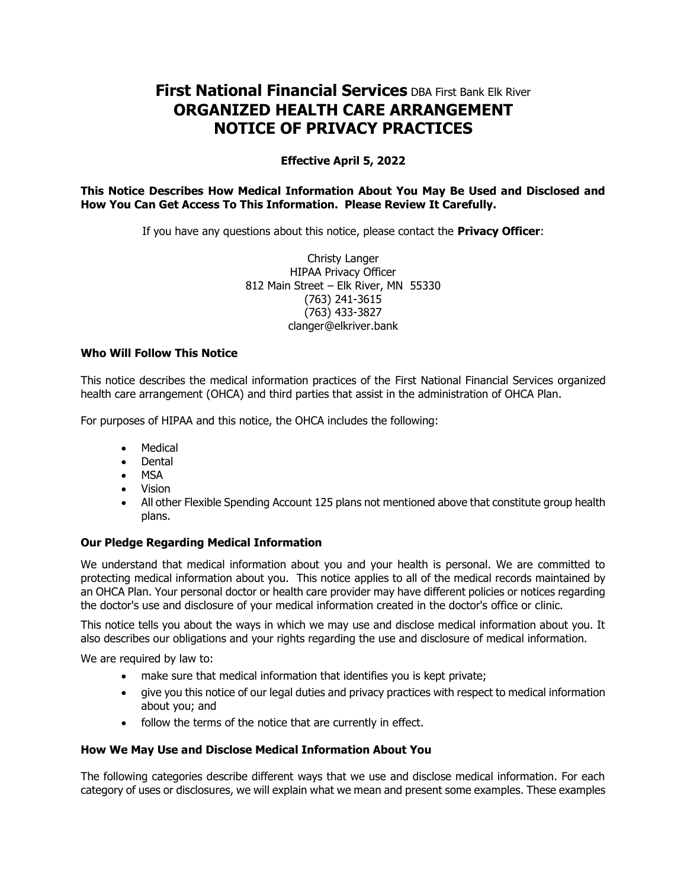# **First National Financial Services** DBA First Bank Elk River **ORGANIZED HEALTH CARE ARRANGEMENT NOTICE OF PRIVACY PRACTICES**

# **Effective April 5, 2022**

## **This Notice Describes How Medical Information About You May Be Used and Disclosed and How You Can Get Access To This Information. Please Review It Carefully.**

If you have any questions about this notice, please contact the **Privacy Officer**:

Christy Langer HIPAA Privacy Officer 812 Main Street – Elk River, MN 55330 (763) 241-3615 (763) 433-3827 clanger@elkriver.bank

#### **Who Will Follow This Notice**

This notice describes the medical information practices of the First National Financial Services organized health care arrangement (OHCA) and third parties that assist in the administration of OHCA Plan.

For purposes of HIPAA and this notice, the OHCA includes the following:

- Medical
- Dental
- MSA
- Vision
- All other Flexible Spending Account 125 plans not mentioned above that constitute group health plans.

## **Our Pledge Regarding Medical Information**

We understand that medical information about you and your health is personal. We are committed to protecting medical information about you. This notice applies to all of the medical records maintained by an OHCA Plan. Your personal doctor or health care provider may have different policies or notices regarding the doctor's use and disclosure of your medical information created in the doctor's office or clinic.

This notice tells you about the ways in which we may use and disclose medical information about you. It also describes our obligations and your rights regarding the use and disclosure of medical information.

We are required by law to:

- make sure that medical information that identifies you is kept private;
- give you this notice of our legal duties and privacy practices with respect to medical information about you; and
- follow the terms of the notice that are currently in effect.

## **How We May Use and Disclose Medical Information About You**

The following categories describe different ways that we use and disclose medical information. For each category of uses or disclosures, we will explain what we mean and present some examples. These examples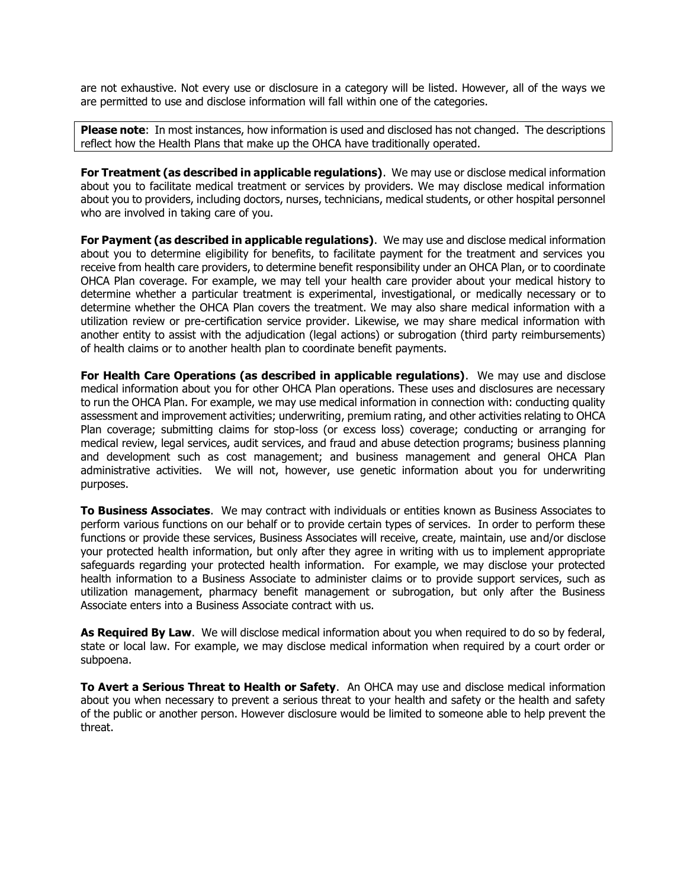are not exhaustive. Not every use or disclosure in a category will be listed. However, all of the ways we are permitted to use and disclose information will fall within one of the categories.

**Please note**: In most instances, how information is used and disclosed has not changed. The descriptions reflect how the Health Plans that make up the OHCA have traditionally operated.

**For Treatment (as described in applicable regulations)**. We may use or disclose medical information about you to facilitate medical treatment or services by providers. We may disclose medical information about you to providers, including doctors, nurses, technicians, medical students, or other hospital personnel who are involved in taking care of you.

**For Payment (as described in applicable regulations)**. We may use and disclose medical information about you to determine eligibility for benefits, to facilitate payment for the treatment and services you receive from health care providers, to determine benefit responsibility under an OHCA Plan, or to coordinate OHCA Plan coverage. For example, we may tell your health care provider about your medical history to determine whether a particular treatment is experimental, investigational, or medically necessary or to determine whether the OHCA Plan covers the treatment. We may also share medical information with a utilization review or pre-certification service provider. Likewise, we may share medical information with another entity to assist with the adjudication (legal actions) or subrogation (third party reimbursements) of health claims or to another health plan to coordinate benefit payments.

**For Health Care Operations (as described in applicable regulations)**. We may use and disclose medical information about you for other OHCA Plan operations. These uses and disclosures are necessary to run the OHCA Plan. For example, we may use medical information in connection with: conducting quality assessment and improvement activities; underwriting, premium rating, and other activities relating to OHCA Plan coverage; submitting claims for stop-loss (or excess loss) coverage; conducting or arranging for medical review, legal services, audit services, and fraud and abuse detection programs; business planning and development such as cost management; and business management and general OHCA Plan administrative activities. We will not, however, use genetic information about you for underwriting purposes.

**To Business Associates**. We may contract with individuals or entities known as Business Associates to perform various functions on our behalf or to provide certain types of services. In order to perform these functions or provide these services, Business Associates will receive, create, maintain, use and/or disclose your protected health information, but only after they agree in writing with us to implement appropriate safeguards regarding your protected health information. For example, we may disclose your protected health information to a Business Associate to administer claims or to provide support services, such as utilization management, pharmacy benefit management or subrogation, but only after the Business Associate enters into a Business Associate contract with us.

**As Required By Law**. We will disclose medical information about you when required to do so by federal, state or local law. For example, we may disclose medical information when required by a court order or subpoena.

**To Avert a Serious Threat to Health or Safety**. An OHCA may use and disclose medical information about you when necessary to prevent a serious threat to your health and safety or the health and safety of the public or another person. However disclosure would be limited to someone able to help prevent the threat.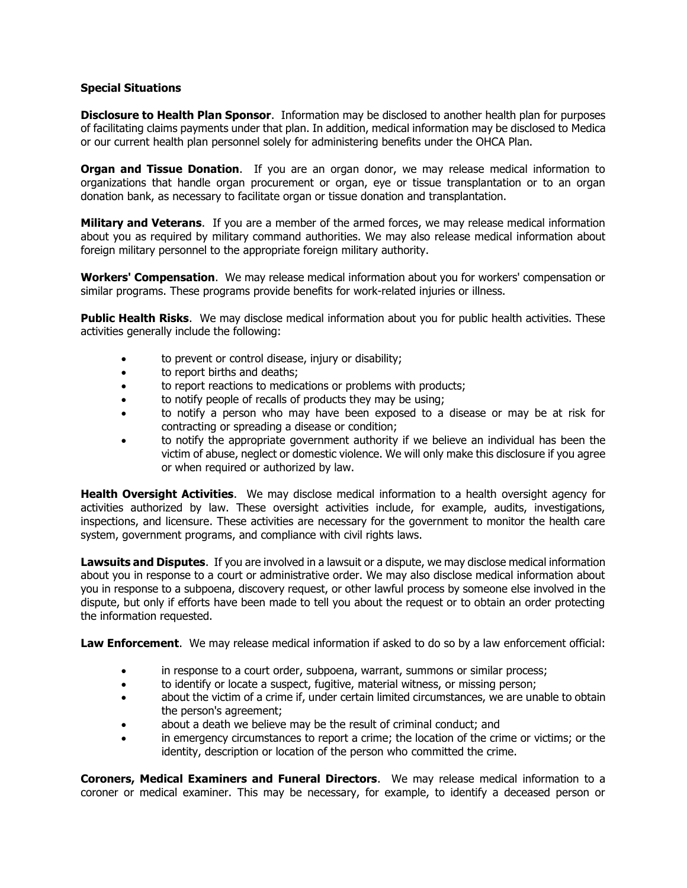### **Special Situations**

**Disclosure to Health Plan Sponsor**. Information may be disclosed to another health plan for purposes of facilitating claims payments under that plan. In addition, medical information may be disclosed to Medica or our current health plan personnel solely for administering benefits under the OHCA Plan.

**Organ and Tissue Donation.** If you are an organ donor, we may release medical information to organizations that handle organ procurement or organ, eye or tissue transplantation or to an organ donation bank, as necessary to facilitate organ or tissue donation and transplantation.

**Military and Veterans**. If you are a member of the armed forces, we may release medical information about you as required by military command authorities. We may also release medical information about foreign military personnel to the appropriate foreign military authority.

**Workers' Compensation**. We may release medical information about you for workers' compensation or similar programs. These programs provide benefits for work-related injuries or illness.

**Public Health Risks**. We may disclose medical information about you for public health activities. These activities generally include the following:

- to prevent or control disease, injury or disability;
- to report births and deaths;
- to report reactions to medications or problems with products;
- to notify people of recalls of products they may be using;
- to notify a person who may have been exposed to a disease or may be at risk for contracting or spreading a disease or condition;
- to notify the appropriate government authority if we believe an individual has been the victim of abuse, neglect or domestic violence. We will only make this disclosure if you agree or when required or authorized by law.

**Health Oversight Activities**. We may disclose medical information to a health oversight agency for activities authorized by law. These oversight activities include, for example, audits, investigations, inspections, and licensure. These activities are necessary for the government to monitor the health care system, government programs, and compliance with civil rights laws.

**Lawsuits and Disputes**. If you are involved in a lawsuit or a dispute, we may disclose medical information about you in response to a court or administrative order. We may also disclose medical information about you in response to a subpoena, discovery request, or other lawful process by someone else involved in the dispute, but only if efforts have been made to tell you about the request or to obtain an order protecting the information requested.

**Law Enforcement**. We may release medical information if asked to do so by a law enforcement official:

- in response to a court order, subpoena, warrant, summons or similar process;
- to identify or locate a suspect, fugitive, material witness, or missing person;
- about the victim of a crime if, under certain limited circumstances, we are unable to obtain the person's agreement;
- about a death we believe may be the result of criminal conduct; and
- in emergency circumstances to report a crime; the location of the crime or victims; or the identity, description or location of the person who committed the crime.

**Coroners, Medical Examiners and Funeral Directors**. We may release medical information to a coroner or medical examiner. This may be necessary, for example, to identify a deceased person or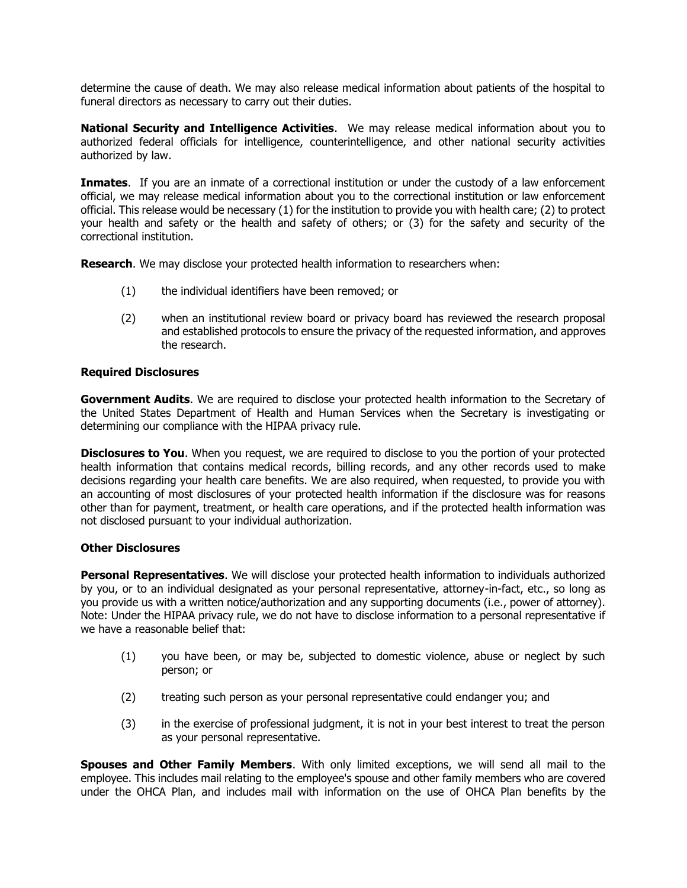determine the cause of death. We may also release medical information about patients of the hospital to funeral directors as necessary to carry out their duties.

**National Security and Intelligence Activities**. We may release medical information about you to authorized federal officials for intelligence, counterintelligence, and other national security activities authorized by law.

**Inmates**. If you are an inmate of a correctional institution or under the custody of a law enforcement official, we may release medical information about you to the correctional institution or law enforcement official. This release would be necessary (1) for the institution to provide you with health care; (2) to protect your health and safety or the health and safety of others; or (3) for the safety and security of the correctional institution.

**Research**. We may disclose your protected health information to researchers when:

- (1) the individual identifiers have been removed; or
- (2) when an institutional review board or privacy board has reviewed the research proposal and established protocols to ensure the privacy of the requested information, and approves the research.

#### **Required Disclosures**

**Government Audits**. We are required to disclose your protected health information to the Secretary of the United States Department of Health and Human Services when the Secretary is investigating or determining our compliance with the HIPAA privacy rule.

**Disclosures to You**. When you request, we are required to disclose to you the portion of your protected health information that contains medical records, billing records, and any other records used to make decisions regarding your health care benefits. We are also required, when requested, to provide you with an accounting of most disclosures of your protected health information if the disclosure was for reasons other than for payment, treatment, or health care operations, and if the protected health information was not disclosed pursuant to your individual authorization.

#### **Other Disclosures**

**Personal Representatives**. We will disclose your protected health information to individuals authorized by you, or to an individual designated as your personal representative, attorney-in-fact, etc., so long as you provide us with a written notice/authorization and any supporting documents (i.e., power of attorney). Note: Under the HIPAA privacy rule, we do not have to disclose information to a personal representative if we have a reasonable belief that:

- (1) you have been, or may be, subjected to domestic violence, abuse or neglect by such person; or
- (2) treating such person as your personal representative could endanger you; and
- (3) in the exercise of professional judgment, it is not in your best interest to treat the person as your personal representative.

**Spouses and Other Family Members**. With only limited exceptions, we will send all mail to the employee. This includes mail relating to the employee's spouse and other family members who are covered under the OHCA Plan, and includes mail with information on the use of OHCA Plan benefits by the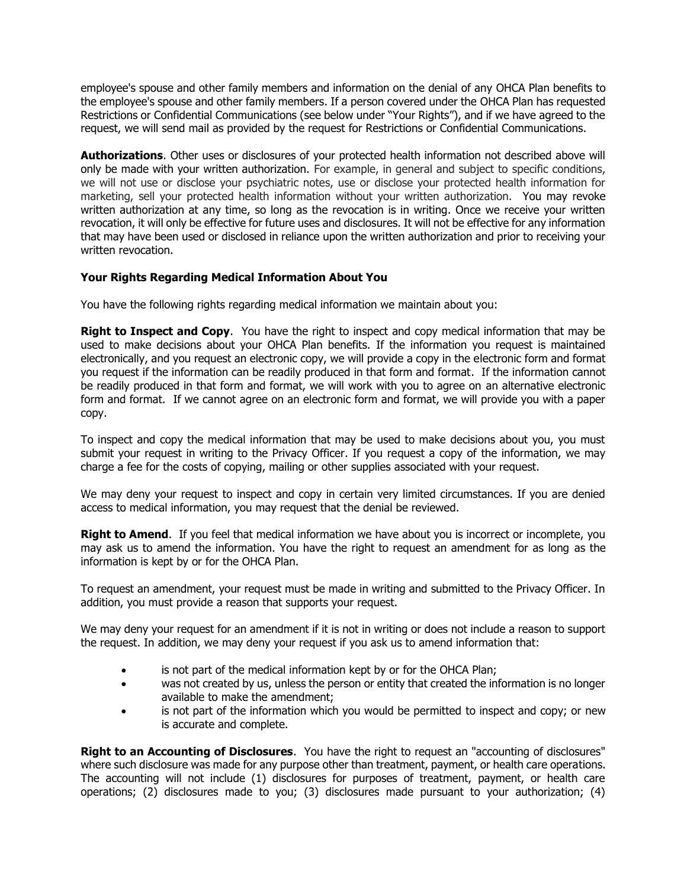employee's spouse and other family members and information on the denial of any OHCA Plan benefits to the employee's spouse and other family members. If a person covered under the OHCA Plan has requested Restrictions or Confidential Communications (see below under "Your Rights"), and if we have agreed to the request, we will send mail as provided by the request for Restrictions or Confidential Communications.

**Authorizations**. Other uses or disclosures of your protected health information not described above will only be made with your written authorization. For example, in general and subject to specific conditions, we will not use or disclose your psychiatric notes, use or disclose your protected health information for marketing, sell your protected health information without your written authorization. You may revoke written authorization at any time, so long as the revocation is in writing. Once we receive your written revocation, it will only be effective for future uses and disclosures. It will not be effective for any information that may have been used or disclosed in reliance upon the written authorization and prior to receiving your written revocation.

# **Your Rights Regarding Medical Information About You**

You have the following rights regarding medical information we maintain about you:

**Right to Inspect and Copy**. You have the right to inspect and copy medical information that may be used to make decisions about your OHCA Plan benefits. If the information you request is maintained electronically, and you request an electronic copy, we will provide a copy in the electronic form and format you request if the information can be readily produced in that form and format. If the information cannot be readily produced in that form and format, we will work with you to agree on an alternative electronic form and format. If we cannot agree on an electronic form and format, we will provide you with a paper copy.

To inspect and copy the medical information that may be used to make decisions about you, you must submit your request in writing to the Privacy Officer. If you request a copy of the information, we may charge a fee for the costs of copying, mailing or other supplies associated with your request.

We may deny your request to inspect and copy in certain very limited circumstances. If you are denied access to medical information, you may request that the denial be reviewed.

**Right to Amend.** If you feel that medical information we have about you is incorrect or incomplete, you may ask us to amend the information. You have the right to request an amendment for as long as the information is kept by or for the OHCA Plan.

To request an amendment, your request must be made in writing and submitted to the Privacy Officer. In addition, you must provide a reason that supports your request.

We may deny your request for an amendment if it is not in writing or does not include a reason to support the request. In addition, we may deny your request if you ask us to amend information that:

- is not part of the medical information kept by or for the OHCA Plan;
- was not created by us, unless the person or entity that created the information is no longer available to make the amendment;
- is not part of the information which you would be permitted to inspect and copy; or new is accurate and complete.

**Right to an Accounting of Disclosures**. You have the right to request an "accounting of disclosures" where such disclosure was made for any purpose other than treatment, payment, or health care operations. The accounting will not include (1) disclosures for purposes of treatment, payment, or health care operations; (2) disclosures made to you; (3) disclosures made pursuant to your authorization; (4)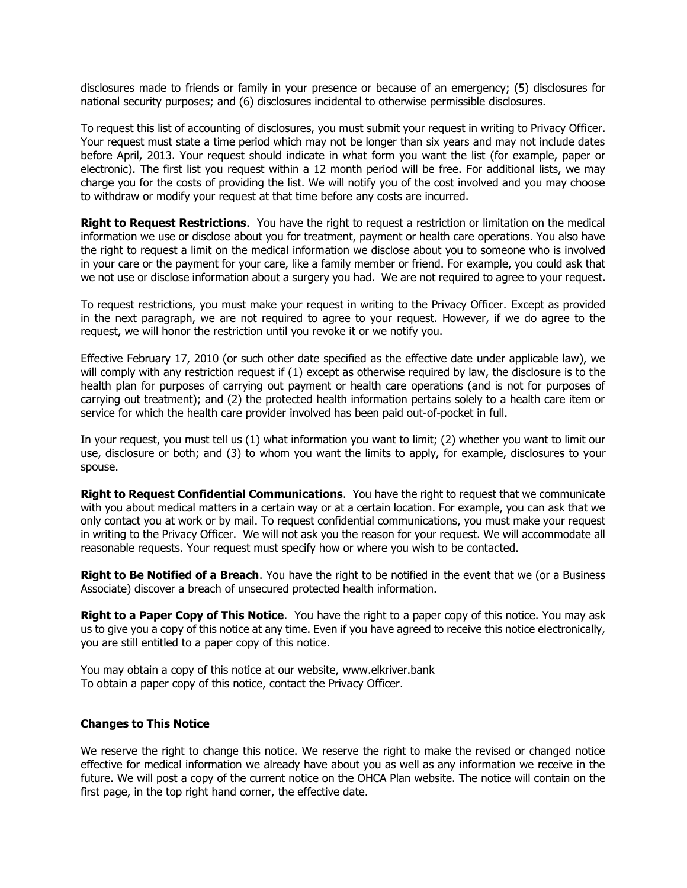disclosures made to friends or family in your presence or because of an emergency; (5) disclosures for national security purposes; and (6) disclosures incidental to otherwise permissible disclosures.

To request this list of accounting of disclosures, you must submit your request in writing to Privacy Officer. Your request must state a time period which may not be longer than six years and may not include dates before April, 2013. Your request should indicate in what form you want the list (for example, paper or electronic). The first list you request within a 12 month period will be free. For additional lists, we may charge you for the costs of providing the list. We will notify you of the cost involved and you may choose to withdraw or modify your request at that time before any costs are incurred.

**Right to Request Restrictions**. You have the right to request a restriction or limitation on the medical information we use or disclose about you for treatment, payment or health care operations. You also have the right to request a limit on the medical information we disclose about you to someone who is involved in your care or the payment for your care, like a family member or friend. For example, you could ask that we not use or disclose information about a surgery you had. We are not required to agree to your request.

To request restrictions, you must make your request in writing to the Privacy Officer. Except as provided in the next paragraph, we are not required to agree to your request. However, if we do agree to the request, we will honor the restriction until you revoke it or we notify you.

Effective February 17, 2010 (or such other date specified as the effective date under applicable law), we will comply with any restriction request if (1) except as otherwise required by law, the disclosure is to the health plan for purposes of carrying out payment or health care operations (and is not for purposes of carrying out treatment); and (2) the protected health information pertains solely to a health care item or service for which the health care provider involved has been paid out-of-pocket in full.

In your request, you must tell us (1) what information you want to limit; (2) whether you want to limit our use, disclosure or both; and (3) to whom you want the limits to apply, for example, disclosures to your spouse.

**Right to Request Confidential Communications**. You have the right to request that we communicate with you about medical matters in a certain way or at a certain location. For example, you can ask that we only contact you at work or by mail. To request confidential communications, you must make your request in writing to the Privacy Officer. We will not ask you the reason for your request. We will accommodate all reasonable requests. Your request must specify how or where you wish to be contacted.

**Right to Be Notified of a Breach**. You have the right to be notified in the event that we (or a Business Associate) discover a breach of unsecured protected health information.

**Right to a Paper Copy of This Notice**. You have the right to a paper copy of this notice. You may ask us to give you a copy of this notice at any time. Even if you have agreed to receive this notice electronically, you are still entitled to a paper copy of this notice.

You may obtain a copy of this notice at our website, www.elkriver.bank To obtain a paper copy of this notice, contact the Privacy Officer.

#### **Changes to This Notice**

We reserve the right to change this notice. We reserve the right to make the revised or changed notice effective for medical information we already have about you as well as any information we receive in the future. We will post a copy of the current notice on the OHCA Plan website. The notice will contain on the first page, in the top right hand corner, the effective date.